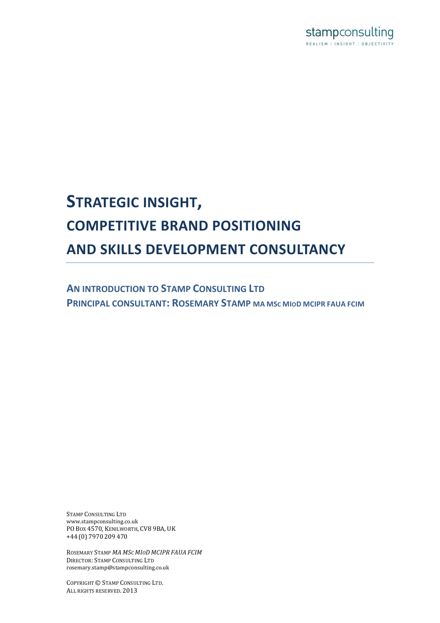

# **STRATEGIC INSIGHT, COMPETITIVE BRAND POSITIONING AND SKILLS DEVELOPMENT CONSULTANCY**

**AN INTRODUCTION TO STAMP CONSULTING LTD PRINCIPAL CONSULTANT: ROSEMARY STAMP** MA MSC MIOD MCIPR FAUA FCIM

STAMP CONSULTING LTD www.stampconsulting.co.uk PO Box 4570, KENILWORTH, CV8 9BA, UK +44 (0) 7970 209 470

ROSEMARY!STAMP!*MA MSC#MIOD MCIPR FAUA FCIM* DIRECTOR: STAMP CONSULTING LTD rosemary.stamp@stampconsulting.co.uk

COPYRIGHT © STAMP CONSULTING LTD. ALL RIGHTS RESERVED. 2013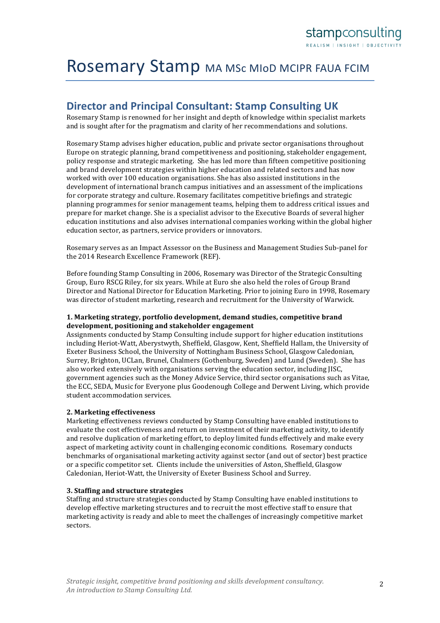# Rosemary Stamp MA MSc MIOD MCIPR FAUA FCIM

# **Director and Principal Consultant: Stamp Consulting UK**

Rosemary Stamp is renowned for her insight and depth of knowledge within specialist markets and is sought after for the pragmatism and clarity of her recommendations and solutions.

Rosemary Stamp advises higher education, public and private sector organisations throughout Europe on strategic planning, brand competitiveness and positioning, stakeholder engagement, policy response and strategic marketing. She has led more than fifteen competitive positioning and brand development strategies within higher education and related sectors and has now worked with over 100 education organisations. She has also assisted institutions in the development of international branch campus initiatives and an assessment of the implications for corporate strategy and culture. Rosemary facilitates competitive briefings and strategic planning programmes for senior management teams, helping them to address critical issues and prepare for market change. She is a specialist advisor to the Executive Boards of several higher education institutions and also advises international companies working within the global higher education sector, as partners, service providers or innovators.

Rosemary serves as an Impact Assessor on the Business and Management Studies Sub-panel for the 2014 Research Excellence Framework (REF).

Before founding Stamp Consulting in 2006, Rosemary was Director of the Strategic Consulting Group, Euro RSCG Riley, for six years. While at Euro she also held the roles of Group Brand Director and National Director for Education Marketing. Prior to joining Euro in 1998, Rosemary was director of student marketing, research and recruitment for the University of Warwick.

#### 1. Marketing strategy, portfolio development, demand studies, competitive brand **development, positioning#and#stakeholder#engagement**

Assignments conducted by Stamp Consulting include support for higher education institutions including Heriot-Watt, Aberystwyth, Sheffield, Glasgow, Kent, Sheffield Hallam, the University of Exeter Business School, the University of Nottingham Business School, Glasgow Caledonian, Surrey, Brighton, UCLan, Brunel, Chalmers (Gothenburg, Sweden) and Lund (Sweden). She has also worked extensively with organisations serving the education sector, including JISC, government agencies such as the Money Advice Service, third sector organisations such as Vitae, the ECC, SEDA, Music for Everyone plus Goodenough College and Derwent Living, which provide student accommodation services.

#### **2. Marketing effectiveness**

Marketing effectiveness reviews conducted by Stamp Consulting have enabled institutions to evaluate the cost effectiveness and return on investment of their marketing activity, to identify and resolve duplication of marketing effort, to deploy limited funds effectively and make every aspect of marketing activity count in challenging economic conditions. Rosemary conducts benchmarks of organisational marketing activity against sector (and out of sector) best practice or a specific competitor set. Clients include the universities of Aston, Sheffield, Glasgow Caledonian, Heriot-Watt, the University of Exeter Business School and Surrey.

#### **3. Staffing and structure strategies**

Staffing and structure strategies conducted by Stamp Consulting have enabled institutions to develop effective marketing structures and to recruit the most effective staff to ensure that marketing activity is ready and able to meet the challenges of increasingly competitive market sectors.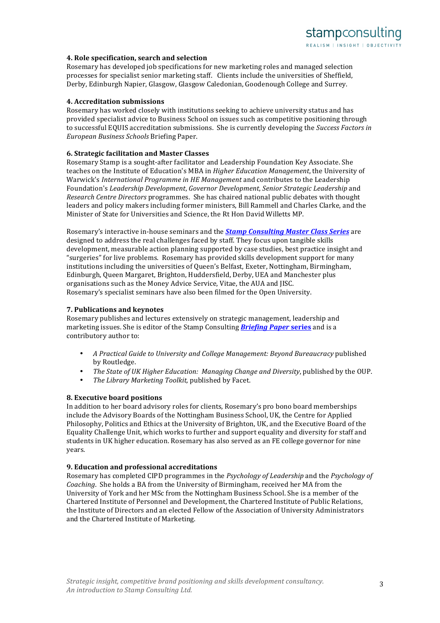#### **4. Role specification, search and selection**

Rosemary has developed job specifications for new marketing roles and managed selection processes for specialist senior marketing staff. Clients include the universities of Sheffield. Derby, Edinburgh Napier, Glasgow, Glasgow Caledonian, Goodenough College and Surrey.

### **4. Accreditation submissions**

Rosemary has worked closely with institutions seeking to achieve university status and has provided specialist advice to Business School on issues such as competitive positioning through to successful EQUIS accreditation submissions. She is currently developing the *Success Factors in European#Business#Schools* Briefing!Paper.!

#### **6. Strategic facilitation and Master Classes**

Rosemary Stamp is a sought-after facilitator and Leadership Foundation Key Associate. She teaches on the Institute of Education's MBA in *Higher Education Management*, the University of Warwick's *International Programme in HE Management* and contributes to the Leadership Foundation's *Leadership Development, Governor Development, Senior Strategic Leadership* and *Research Centre Directors* programmes. She has chaired national public debates with thought leaders and policy makers including former ministers, Bill Rammell and Charles Clarke, and the Minister of State for Universities and Science, the Rt Hon David Willetts MP.

Rosemary's interactive in-house seminars and the *Stamp Consulting Master Class Series* are designed to address the real challenges faced by staff. They focus upon tangible skills development, measurable action planning supported by case studies, best practice insight and "surgeries" for live problems. Rosemary has provided skills development support for many institutions including the universities of Queen's Belfast, Exeter, Nottingham, Birmingham, Edinburgh, Queen Margaret, Brighton, Huddersfield, Derby, UEA and Manchester plus organisations such as the Money Advice Service, Vitae, the AUA and JISC. Rosemary's specialist seminars have also been filmed for the Open University.

#### **7. Publications and keynotes**

Rosemary publishes and lectures extensively on strategic management, leadership and marketing issues. She is editor of the Stamp Consulting **Briefing Paper series** and is a contributory author to:

- A Practical Guide to University and College Management: Beyond Bureaucracy published by!Routledge.
- *The State of UK Higher Education: Managing Change and Diversity*, published by the OUP.
- *The Library Marketing Toolkit, published by Facet.*

#### **8. Executive board positions**

In addition to her board advisory roles for clients, Rosemary's pro bono board memberships include the Advisory Boards of the Nottingham Business School, UK, the Centre for Applied Philosophy, Politics and Ethics at the University of Brighton, UK, and the Executive Board of the Equality Challenge Unit, which works to further and support equality and diversity for staff and students in UK higher education. Rosemary has also served as an FE college governor for nine years.

#### **9. Education and professional accreditations**

Rosemary has completed CIPD programmes in the *Psychology of Leadership* and the *Psychology of Coaching*. She holds a BA from the University of Birmingham, received her MA from the University of York and her MSc from the Nottingham Business School. She is a member of the Chartered Institute of Personnel and Development, the Chartered Institute of Public Relations, the Institute of Directors and an elected Fellow of the Association of University Administrators and the Chartered Institute of Marketing.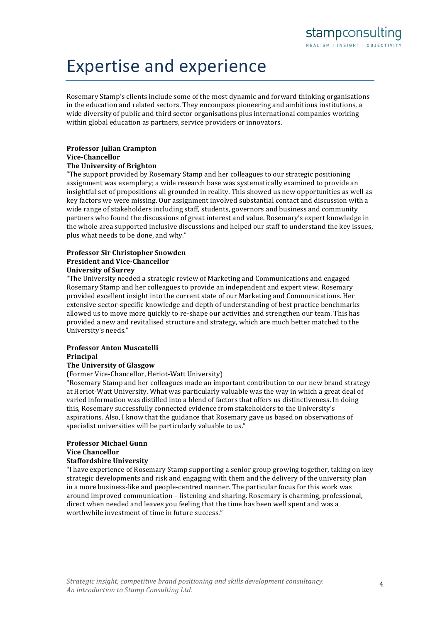# Expertise and experience

Rosemary Stamp's clients include some of the most dynamic and forward thinking organisations in the education and related sectors. They encompass pioneering and ambitions institutions, a wide diversity of public and third sector organisations plus international companies working within global education as partners, service providers or innovators.

# **Professor Julian Crampton Vice-Chancellor**

# **The University of Brighton**

"The support provided by Rosemary Stamp and her colleagues to our strategic positioning assignment was exemplary; a wide research base was systematically examined to provide an insightful set of propositions all grounded in reality. This showed us new opportunities as well as key factors we were missing. Our assignment involved substantial contact and discussion with a wide range of stakeholders including staff, students, governors and business and community partners who found the discussions of great interest and value. Rosemary's expert knowledge in the whole area supported inclusive discussions and helped our staff to understand the key issues, plus what needs to be done, and why."

### **Professor Sir Christopher Snowden President and Vice-Chancellor University of Surrey**

"The University needed a strategic review of Marketing and Communications and engaged Rosemary Stamp and her colleagues to provide an independent and expert view. Rosemary provided excellent insight into the current state of our Marketing and Communications. Her extensive sector-specific knowledge and depth of understanding of best practice benchmarks allowed us to move more quickly to re-shape our activities and strengthen our team. This has provided a new and revitalised structure and strategy, which are much better matched to the University's needs."

# **Professor Anton Muscatelli Principal**

# **The University of Glasgow**

(Former Vice-Chancellor, Heriot-Watt University)

"Rosemary Stamp and her colleagues made an important contribution to our new brand strategy at Heriot-Watt University. What was particularly valuable was the way in which a great deal of varied information was distilled into a blend of factors that offers us distinctiveness. In doing this, Rosemary successfully connected evidence from stakeholders to the University's aspirations. Also, I know that the guidance that Rosemary gave us based on observations of specialist universities will be particularly valuable to us."

# **Professor Michael Gunn Vice Chancellor**

# **Staffordshire University**

"I have experience of Rosemary Stamp supporting a senior group growing together, taking on key strategic developments and risk and engaging with them and the delivery of the university plan in a more business-like and people-centred manner. The particular focus for this work was around improved communication – listening and sharing. Rosemary is charming, professional, direct when needed and leaves you feeling that the time has been well spent and was a worthwhile investment of time in future success."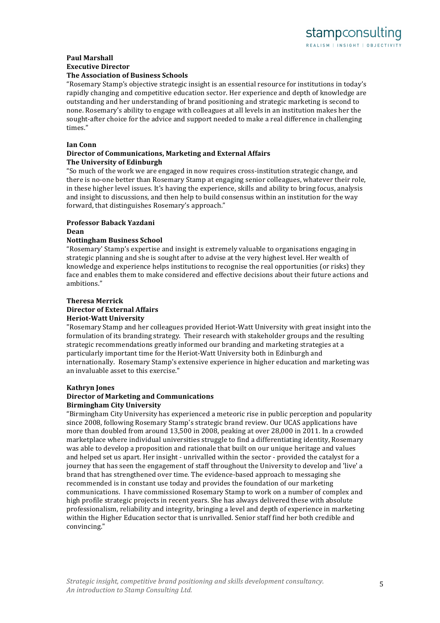# **Paul Marshall Executive Director**

### **The Association of Business Schools**

"Rosemary Stamp's objective strategic insight is an essential resource for institutions in today's rapidly changing and competitive education sector. Her experience and depth of knowledge are outstanding and her understanding of brand positioning and strategic marketing is second to none. Rosemary's ability to engage with colleagues at all levels in an institution makes her the sought-after choice for the advice and support needed to make a real difference in challenging times."

#### **Ian Conn**

### **Director of Communications, Marketing and External Affairs The University of Edinburgh**

"So much of the work we are engaged in now requires cross-institution strategic change, and there is no-one better than Rosemary Stamp at engaging senior colleagues, whatever their role, in these higher level issues. It's having the experience, skills and ability to bring focus, analysis and insight to discussions, and then help to build consensus within an institution for the way forward, that distinguishes Rosemary's approach."

# **Professor#Baback#Yazdani**

### **Dean**

### **Nottingham Business School**

"Rosemary' Stamp's expertise and insight is extremely valuable to organisations engaging in strategic planning and she is sought after to advise at the very highest level. Her wealth of knowledge and experience helps institutions to recognise the real opportunities (or risks) they face and enables them to make considered and effective decisions about their future actions and ambitions."

#### **Theresa Merrick Director of External Affairs Heriot-Watt University**

"Rosemary Stamp and her colleagues provided Heriot-Watt University with great insight into the formulation of its branding strategy. Their research with stakeholder groups and the resulting strategic recommendations greatly informed our branding and marketing strategies at a particularly important time for the Heriot-Watt University both in Edinburgh and internationally. Rosemary Stamp's extensive experience in higher education and marketing was an invaluable asset to this exercise."

#### **Kathryn Jones**

#### **Director of Marketing and Communications Birmingham#City#University**

"Birmingham City University has experienced a meteoric rise in public perception and popularity since 2008, following Rosemary Stamp's strategic brand review. Our UCAS applications have more than doubled from around 13,500 in 2008, peaking at over 28,000 in 2011. In a crowded marketplace where individual universities struggle to find a differentiating identity, Rosemary was able to develop a proposition and rationale that built on our unique heritage and values and helped set us apart. Her insight - unrivalled within the sector - provided the catalyst for a journey that has seen the engagement of staff throughout the University to develop and 'live' a brand that has strengthened over time. The evidence-based approach to messaging she recommended is in constant use today and provides the foundation of our marketing communications. I have commissioned Rosemary Stamp to work on a number of complex and high profile strategic projects in recent years. She has always delivered these with absolute professionalism, reliability and integrity, bringing a level and depth of experience in marketing within the Higher Education sector that is unrivalled. Senior staff find her both credible and convincing."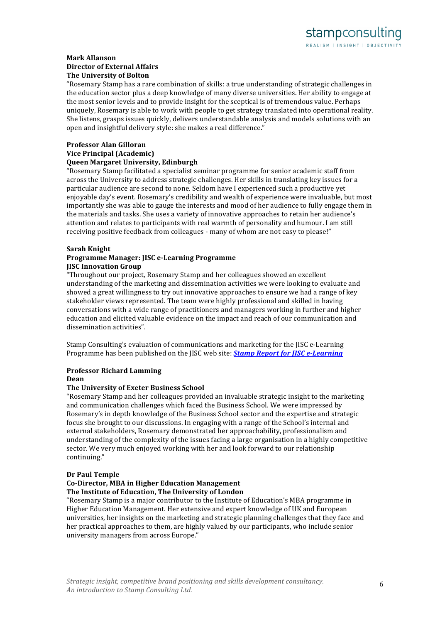#### **Mark#Allanson Director of External Affairs The University of Bolton**

"Rosemary Stamp has a rare combination of skills: a true understanding of strategic challenges in the education sector plus a deep knowledge of many diverse universities. Her ability to engage at the most senior levels and to provide insight for the sceptical is of tremendous value. Perhaps uniquely, Rosemary is able to work with people to get strategy translated into operational reality. She listens, grasps issues quickly, delivers understandable analysis and models solutions with an open and insightful delivery style: she makes a real difference."

#### **Professor Alan Gilloran Vice Principal (Academic) Queen Margaret University, Edinburgh**

"Rosemary Stamp facilitated a specialist seminar programme for senior academic staff from across the University to address strategic challenges. Her skills in translating key issues for a particular audience are second to none. Seldom have I experienced such a productive yet enjoyable day's event. Rosemary's credibility and wealth of experience were invaluable, but most importantly she was able to gauge the interests and mood of her audience to fully engage them in the materials and tasks. She uses a variety of innovative approaches to retain her audience's attention and relates to participants with real warmth of personality and humour. I am still receiving positive feedback from colleagues - many of whom are not easy to please!"

# **Sarah Knight**

### **Programme Manager: JISC e-Learning Programme IISC Innovation Group**

"Throughout our project, Rosemary Stamp and her colleagues showed an excellent understanding of the marketing and dissemination activities we were looking to evaluate and showed a great willingness to try out innovative approaches to ensure we had a range of key stakeholder views represented. The team were highly professional and skilled in having conversations with a wide range of practitioners and managers working in further and higher education and elicited valuable evidence on the impact and reach of our communication and dissemination activities".

Stamp Consulting's evaluation of communications and marketing for the JISC e-Learning Programme has been published on the JISC web site: *Stamp Report for JISC e-Learning* 

# **Professor Richard Lamming**

**Dean**

# **The University of Exeter Business School**

"Rosemary Stamp and her colleagues provided an invaluable strategic insight to the marketing and communication challenges which faced the Business School. We were impressed by Rosemary's in depth knowledge of the Business School sector and the expertise and strategic focus she brought to our discussions. In engaging with a range of the School's internal and external stakeholders, Rosemary demonstrated her approachability, professionalism and understanding of the complexity of the issues facing a large organisation in a highly competitive sector. We very much enjoyed working with her and look forward to our relationship continuing."

#### **Dr Paul Temple**

#### **Co-Director, MBA in Higher Education Management The Institute of Education, The University of London**

"Rosemary Stamp is a major contributor to the Institute of Education's MBA programme in Higher Education Management. Her extensive and expert knowledge of UK and European universities, her insights on the marketing and strategic planning challenges that they face and her practical approaches to them, are highly valued by our participants, who include senior university managers from across Europe."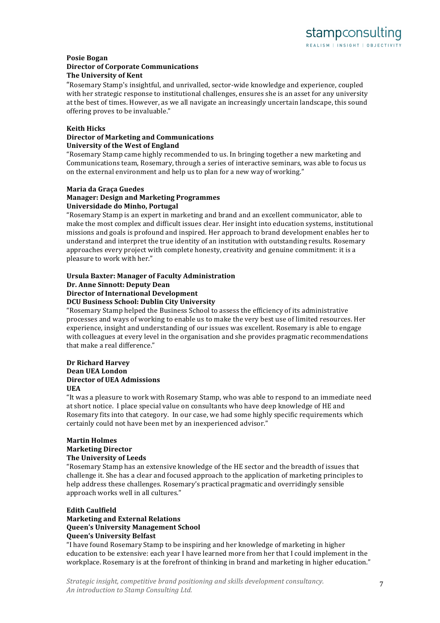#### **Posie#Bogan Director of Corporate Communications The University of Kent**

"Rosemary Stamp's insightful, and unrivalled, sector-wide knowledge and experience, coupled with her strategic response to institutional challenges, ensures she is an asset for any university at the best of times. However, as we all navigate an increasingly uncertain landscape, this sound offering proves to be invaluable."

#### **Keith Hicks**

#### **Director of Marketing and Communications University of the West of England**

"Rosemary Stamp came highly recommended to us. In bringing together a new marketing and Communications team, Rosemary, through a series of interactive seminars, was able to focus us on the external environment and help us to plan for a new way of working."

### **Maria da Graça Guedes**

### **Manager: Design and Marketing Programmes Universidade do Minho, Portugal**

"Rosemary Stamp is an expert in marketing and brand and an excellent communicator, able to make the most complex and difficult issues clear. Her insight into education systems, institutional missions and goals is profound and inspired. Her approach to brand development enables her to understand and interpret the true identity of an institution with outstanding results. Rosemary approaches every project with complete honesty, creativity and genuine commitment: it is a pleasure to work with her."

#### **Ursula Baxter: Manager of Faculty Administration Dr. Anne Sinnott: Deputy Dean Director of International Development DCU Business School: Dublin City University**

"Rosemary Stamp helped the Business School to assess the efficiency of its administrative processes and ways of working to enable us to make the very best use of limited resources. Her experience, insight and understanding of our issues was excellent. Rosemary is able to engage with colleagues at every level in the organisation and she provides pragmatic recommendations that make a real difference."

#### **Dr Richard Harvey Dean UEA London Director of UEA Admissions UEA**

#### "It was a pleasure to work with Rosemary Stamp, who was able to respond to an immediate need at short notice. I place special value on consultants who have deep knowledge of HE and Rosemary fits into that category. In our case, we had some highly specific requirements which certainly could not have been met by an inexperienced advisor."

#### **Martin Holmes Marketing#Director The University of Leeds**

"Rosemary Stamp has an extensive knowledge of the HE sector and the breadth of issues that challenge it. She has a clear and focused approach to the application of marketing principles to help address these challenges. Rosemary's practical pragmatic and overridingly sensible approach works well in all cultures."

# **Edith Caulfield**

# **Marketing and External Relations Queen's University Management School Queen's University Belfast**

"I have found Rosemary Stamp to be inspiring and her knowledge of marketing in higher education to be extensive: each year I have learned more from her that I could implement in the workplace. Rosemary is at the forefront of thinking in brand and marketing in higher education."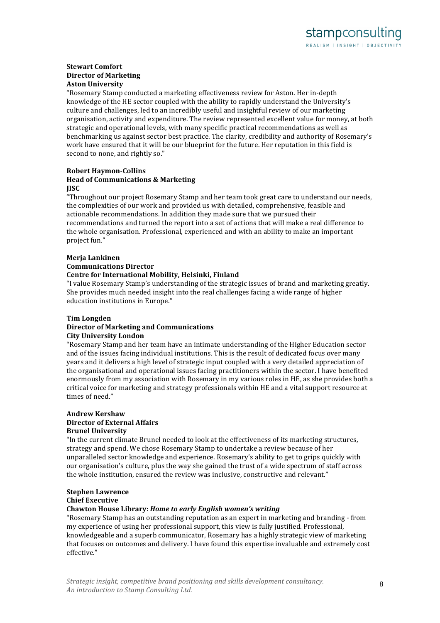# **Stewart Comfort Director of Marketing Aston University**

"Rosemary Stamp conducted a marketing effectiveness review for Aston. Her in-depth knowledge of the HE sector coupled with the ability to rapidly understand the University's culture and challenges, led to an incredibly useful and insightful review of our marketing organisation, activity and expenditure. The review represented excellent value for money, at both strategic and operational levels, with many specific practical recommendations as well as benchmarking us against sector best practice. The clarity, credibility and authority of Rosemary's work have ensured that it will be our blueprint for the future. Her reputation in this field is second to none, and rightly so."

#### **Robert Haymon-Collins Head of Communications & Marketing JISC**

"Throughout our project Rosemary Stamp and her team took great care to understand our needs, the complexities of our work and provided us with detailed, comprehensive, feasible and actionable recommendations. In addition they made sure that we pursued their recommendations and turned the report into a set of actions that will make a real difference to the whole organisation. Professional, experienced and with an ability to make an important project fun."

#### **Meria Lankinen Communications#Director Centre for International Mobility, Helsinki, Finland**

"I value Rosemary Stamp's understanding of the strategic issues of brand and marketing greatly. She provides much needed insight into the real challenges facing a wide range of higher education institutions in Europe."

# **Tim#Longden**

#### **Director of Marketing and Communications City University London**

"Rosemary Stamp and her team have an intimate understanding of the Higher Education sector and of the issues facing individual institutions. This is the result of dedicated focus over many years and it delivers a high level of strategic input coupled with a very detailed appreciation of the organisational and operational issues facing practitioners within the sector. I have benefited enormously from my association with Rosemary in my various roles in HE, as she provides both a critical voice for marketing and strategy professionals within HE and a vital support resource at times of need."

#### **Andrew#Kershaw Director of External Affairs Brunel University**

"In the current climate Brunel needed to look at the effectiveness of its marketing structures, strategy and spend. We chose Rosemary Stamp to undertake a review because of her unparalleled sector knowledge and experience. Rosemary's ability to get to grips quickly with our organisation's culture, plus the way she gained the trust of a wide spectrum of staff across the whole institution, ensured the review was inclusive, constructive and relevant."

# **Stephen Lawrence**

# **Chief Executive**

# **Chawton#House#Library:#***Home&to&early&English&women's&writing*

"Rosemary Stamp has an outstanding reputation as an expert in marketing and branding - from my experience of using her professional support, this view is fully justified. Professional, knowledgeable and a superb communicator, Rosemary has a highly strategic view of marketing that focuses on outcomes and delivery. I have found this expertise invaluable and extremely cost effective."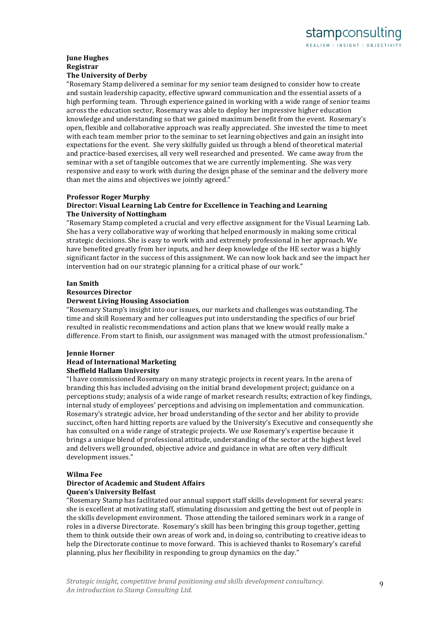#### **June Hughes Registrar The University of Derby**

"Rosemary Stamp delivered a seminar for my senior team designed to consider how to create and sustain leadership capacity, effective upward communication and the essential assets of a high performing team. Through experience gained in working with a wide range of senior teams across the education sector, Rosemary was able to deploy her impressive higher education knowledge and understanding so that we gained maximum benefit from the event. Rosemary's open, flexible and collaborative approach was really appreciated. She invested the time to meet with each team member prior to the seminar to set learning objectives and gain an insight into expectations for the event. She very skilfully guided us through a blend of theoretical material and practice-based exercises, all very well researched and presented. We came away from the seminar with a set of tangible outcomes that we are currently implementing. She was very responsive and easy to work with during the design phase of the seminar and the delivery more than met the aims and objectives we jointly agreed."

### **Professor Roger Murphy**

### **Director: Visual Learning Lab Centre for Excellence in Teaching and Learning The University of Nottingham**

"Rosemary Stamp completed a crucial and very effective assignment for the Visual Learning Lab. She has a very collaborative way of working that helped enormously in making some critical strategic decisions. She is easy to work with and extremely professional in her approach. We have benefited greatly from her inputs, and her deep knowledge of the HE sector was a highly significant factor in the success of this assignment. We can now look back and see the impact her intervention had on our strategic planning for a critical phase of our work."

#### **Ian#Smith**

#### **Resources#Director**

#### **Derwent Living Housing Association**

"Rosemary Stamp's insight into our issues, our markets and challenges was outstanding. The time and skill Rosemary and her colleagues put into understanding the specifics of our brief resulted in realistic recommendations and action plans that we knew would really make a difference. From start to finish, our assignment was managed with the utmost professionalism."

# *<u>Jennie Horner</u>* **Head of International Marketing Sheffield Hallam University**

"I have commissioned Rosemary on many strategic projects in recent years. In the arena of branding this has included advising on the initial brand development project; guidance on a perceptions study; analysis of a wide range of market research results; extraction of key findings, internal study of employees' perceptions and advising on implementation and communication. Rosemary's strategic advice, her broad understanding of the sector and her ability to provide succinct, often hard hitting reports are valued by the University's Executive and consequently she has consulted on a wide range of strategic projects. We use Rosemary's expertise because it brings a unique blend of professional attitude, understanding of the sector at the highest level and delivers well grounded, objective advice and guidance in what are often very difficult development issues."

#### **Wilma#Fee**

#### **Director of Academic and Student Affairs Queen's University Belfast**

"Rosemary Stamp has facilitated our annual support staff skills development for several vears: she is excellent at motivating staff, stimulating discussion and getting the best out of people in the skills development environment. Those attending the tailored seminars work in a range of roles in a diverse Directorate. Rosemary's skill has been bringing this group together, getting them to think outside their own areas of work and, in doing so, contributing to creative ideas to help the Directorate continue to move forward. This is achieved thanks to Rosemary's careful planning, plus her flexibility in responding to group dynamics on the day."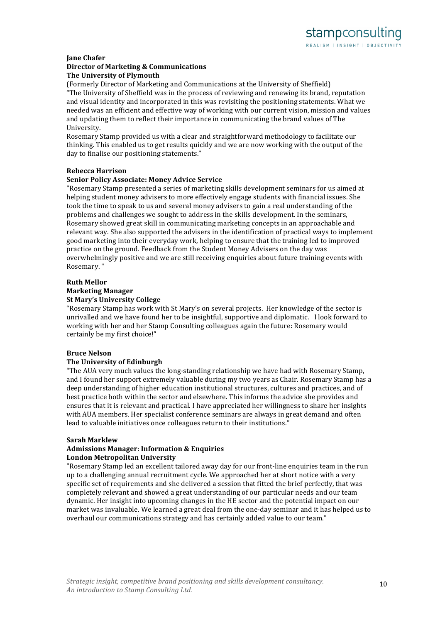#### **Jane Chafer**

#### **Director of Marketing & Communications The University of Plymouth**

(Formerly Director of Marketing and Communications at the University of Sheffield) "The University of Sheffield was in the process of reviewing and renewing its brand, reputation and visual identity and incorporated in this was revisiting the positioning statements. What we needed was an efficient and effective way of working with our current vision, mission and values and updating them to reflect their importance in communicating the brand values of The University.

Rosemary Stamp provided us with a clear and straightforward methodology to facilitate our thinking. This enabled us to get results quickly and we are now working with the output of the day to finalise our positioning statements."

# **Rebecca#Harrison**

### **Senior Policy Associate: Money Advice Service**

"Rosemary Stamp presented a series of marketing skills development seminars for us aimed at helping student money advisers to more effectively engage students with financial issues. She took the time to speak to us and several money advisers to gain a real understanding of the problems and challenges we sought to address in the skills development. In the seminars, Rosemary showed great skill in communicating marketing concepts in an approachable and relevant way. She also supported the advisers in the identification of practical ways to implement good marketing into their everyday work, helping to ensure that the training led to improved practice on the ground. Feedback from the Student Money Advisers on the day was overwhelmingly positive and we are still receiving enquiries about future training events with Rosemary."

### **Ruth Mellor**

### **Marketing#Manager**

#### **St Mary's University College**

"Rosemary Stamp has work with St Mary's on several projects. Her knowledge of the sector is unrivalled and we have found her to be insightful, supportive and diplomatic. I look forward to working with her and her Stamp Consulting colleagues again the future: Rosemary would certainly be my first choice!"

# **Bruce#Nelson**

#### **The University of Edinburgh**

"The AUA very much values the long-standing relationship we have had with Rosemary Stamp, and I found her support extremely valuable during my two years as Chair. Rosemary Stamp has a deep understanding of higher education institutional structures, cultures and practices, and of best practice both within the sector and elsewhere. This informs the advice she provides and ensures that it is relevant and practical. I have appreciated her willingness to share her insights with AUA members. Her specialist conference seminars are always in great demand and often lead to valuable initiatives once colleagues return to their institutions."

#### **Sarah Marklew**

#### Admissions Manager: Information & Enquiries **London Metropolitan University**

"Rosemary Stamp led an excellent tailored away day for our front-line enquiries team in the run up to a challenging annual recruitment cycle. We approached her at short notice with a very specific set of requirements and she delivered a session that fitted the brief perfectly, that was completely relevant and showed a great understanding of our particular needs and our team dynamic. Her insight into upcoming changes in the HE sector and the potential impact on our market was invaluable. We learned a great deal from the one-day seminar and it has helped us to overhaul our communications strategy and has certainly added value to our team."